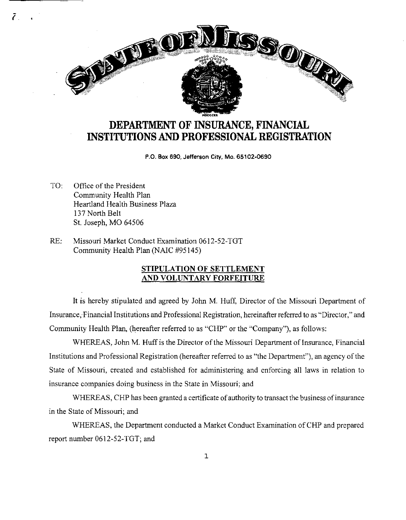

# **DEPARTMENT OF INSURANCE, FINANCIAL INSTITUTIONS AND PROFESSIONAL REGISTRATION**

P.O. Box 690, Jefferson City, Mo. 65102-0690

TO: Office of the President Community Health Plan Heartland Health Business Plaza 137 North Belt St. Joseph, MO 64506

*j* 

RE: Missouri Market Conduct Examination 0612-52-TGT Community Health Plan (NAIC #95145)

### **STIPULATION OF SETTLEMENT AND VOLUNTARY FORFEITURE**

It is hereby stipulated and agreed by John M. Huff, Director of the Missouri Department of Insurance, Financial Institutions and Professional Registration, hereinafter referred to as "Director," and Community Health Plan, (hereafter referred to as "CHP" or the "Company"), as follows:

WHEREAS, John M. Huff is the Director of the Missouri Department of Insurance, Financial Institutions and Professional Registration (hereafter referred to as "the Department"), an agency of the State of Missouri, created and established for administering and enforcing all laws in relation to insurance companies doing business in the State in Missouri; and

WHEREAS, CHP has been granted a certificate of authority to transact the business of insurance in the State of Missouri; and

WHEREAS, the Department conducted a Market Conduct Examination of CHP and prepared report number 0612-52-TGT; and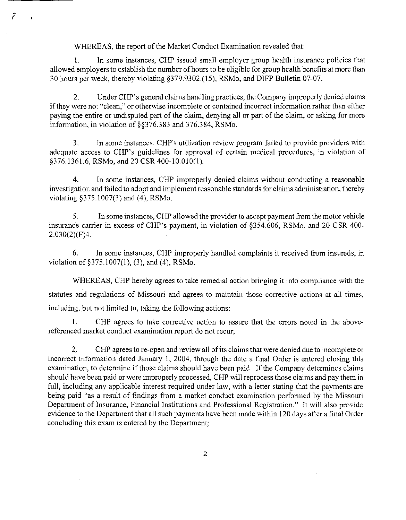WHEREAS, the report of the Market Conduct Examination revealed that:

*?* 

1. In some instances, CHP issued small employer group health insurance policies that allowed employers to establish the number of hours to be eligible for group health benefits at more than 30 hours per week, thereby violating §379.9302.(15), RSMo, and DIFP Bulletin 07-07.

Under CHP's general claims handling practices, the Company improperly denied claims if they were not "clean," or otherwise incomplete or contained incorrect information rather than either paying the entire or undisputed part of the claim, denying all or part of the claim, or asking for more information, in violation of §§376.383 and 376.384, RSMo.

3. In some instances, CHP's utilization review program failed to provide providers with adequate access to CHP's guidelines for approval of certain medical procedures, in violation of §376.1361.6, RSMo, and 20 CSR 400-10.010(1).

4. In some instances, CHP improperly denied claims without conducting a reasonable investigation and failed to adopt and implement reasonable standards for claims administration, thereby violating §375.1007(3) and (4), RSMo.

5. In some instances, CHP allowed the provider to accept payment from the motor vehicle insurance carrier in excess of CHP's payment, in violation of §354.606, RSMo, and 20 CSR 400- 2.030(2)(F)4.

6. In some instances, CHP improperly handled complaints it received from insureds, in violation of  $\S 375.1007(1)$ , (3), and (4), RSMo.

WHEREAS, CHP hereby agrees to take remedial action bringing it into compliance with the statutes and regulations of Missouri and agrees to maintain those corrective actions at all times, including, but not limited to, taking the following actions:

1. CHP agrees to take corrective action to assure that the errors noted in the abovereferenced market conduct examination report do not recur;

2. CHP agrees to re-open and review all of its claims that were denied due to incomplete or incorrect information dated January 1, 2004, through the date a final Order is entered closing this examination, to determine if those claims should have been paid. If the Company determines claims should have been paid or were improperly processed, CHP will reprocess those claims and pay them in full, including any applicable interest required under law, with a letter stating that the payments are being paid "as a result of findings from a market conduct examination performed by the Missouri Department of Insurance, Financial Institutions and Professional Registration." It will also provide evidence to the Department that all such payments have been made within 120 days after a final Order concluding this exam is entered by the Department;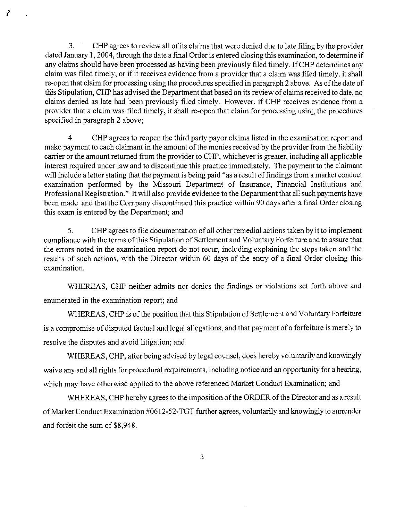3. CHP agrees to review all of its claims that were denied due to late filing by the provider dated January I, 2004, through the date a final Order is entered closing this examination, to determine if any claims should have been processed as having been previously filed timely. If CHP determines any claim was filed timely, or if it receives evidence from a provider that a claim was filed timely, it shall re-open that claim for processing using the procedures specified in paragraph 2 above. As of the date of this Stipulation, CHP has advised the Department that based on its review of claims received to date, no claims denied as late had been previously filed timely. However, if CHP receives evidence from a provider that a claim was filed timely, it shall re-open that claim for processing using the procedures specified in paragraph 2 above;

7

4. CHP agrees to reopen the third party payor claims listed in the examination report and make payment to each claimant in the amount of the monies received by the provider from the liability carrier or the amount returned from the provider to CHP, whichever is greater, including all applicable interest required under law and to discontinue this practice immediately. The payment to the claimant will include a letter stating that the payment is being paid "as a result of findings from a market conduct examination performed by the Missouri Department of Insurance, Financial Institutions and Professional Registration." It will also provide evidence to the Department that all such payments have been made and that the Company discontinued this practice within 90 days after a final Order closing this exam is entered by the Department; and

5. CHP agrees to file documentation of all other remedial actions taken by it to implement compliance with the terms of this Stipulation of Settlement and Voluntary Forfeiture and to assure that the errors noted in the examination report do not recur, including explaining the steps taken and the results of such actions, with the Director within 60 days of the entry of a final Order closing this examination.

WHEREAS, CHP neither admits nor denies the findings or violations set forth above and enumerated in the examination report; and

WHEREAS, CHP is of the position that this Stipulation of Settlement and Voluntary Forfeiture is a compromise of disputed factual and legal allegations, and that payment of a forfeiture is merely to resolve the disputes and avoid litigation; and

WHEREAS, CHP, after being advised by legal counsel, does hereby voluntarily and knowingly waive any and all rights for procedural requirements, including notice and an opportunity for a hearing, which may have otherwise applied to the above referenced Market Conduct Examination; and

WHEREAS, CHP hereby agrees to the imposition of the ORDER of the Director and as a result of Market Conduct Examination #0612-52-TGT further agrees, voluntarily and knowingly to surrender and forfeit the sum of\$8,948.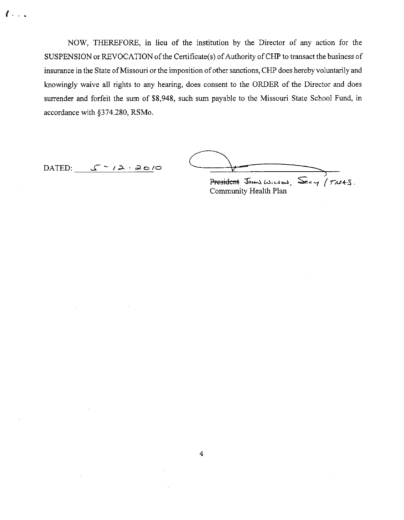NOW, THEREFORE, in lieu of the institution by the Director of any action for the SUSPENSION or REVOCATION of the Certificate(s) of Authority of CHP to transact the business of insurance in the State of Missouri or the imposition of other sanctions, CHP does hereby voluntarily and knowingly waive all rights to any hearing, does consent to the ORDER of the Director and does surrender and forfeit the sum of \$8,948, such sum payable to the Missouri State School Fund, in accordance with §374.280, RSMo.

*<sup>i</sup>*...

DATED:  $J^{-1}$   $\longrightarrow$   $\longrightarrow$ President Jams Wilson,  $\mathcal{S}_{eq}$  / TNOKS.

Community Health Plan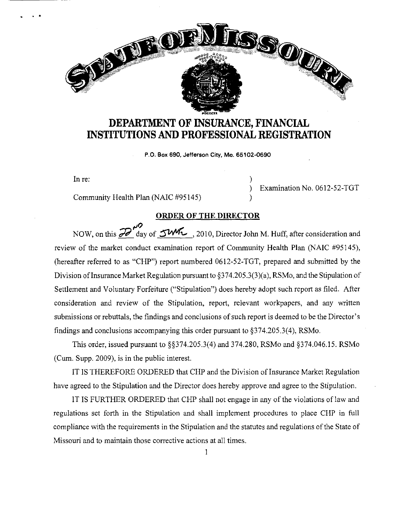# **DEPARTMENT OF INSURANCE, FINANCIAL INSTITUTIONS AND PROFESSIONAL REGISTRATION**

P.O. Box 690, Jefferson City, Mo. 65102-0690

In re:  $\qquad \qquad$  )

. .

Community Health Plan (NAIC #95145)

BURGED !!

) Examination No. 0612-52-TGT

hos over

#### **ORDER OF THE DIRECTOR**

)

NOW, on this **20<sup>10</sup> day of** *SWK*, 2010, Director John M. Huff, after consideration and review of the market conduct examination report of Community Health Plan (NAIC #95145), (hereafter referred to as "CHP") report numbered 0612-52-TGT, prepared and submitted by the Division of Insurance Market Regulation pursuant to  $\S 374.205.3(3)(a)$ , RSMo, and the Stipulation of Settlement and Voluntary Forfeiture ("Stipulation") does hereby adopt such report as filed. After consideration and review of the Stipulation, report, relevant workpapers, and any written submissions or rebuttals, the findings and conclusions of such report is deemed to be the Director's findings and conclusions accompanying this order pursuant to §374.205.3(4), RSMo.

This order, issued pursuant to §§374.205.3(4) and 374.280, RSMo and §374.046.15. RSMo (Cum. Supp. 2009), is in the public interest.

IT IS THEREFORE ORDERED that CHP and the Division oflnsurance Market Regulation have agreed to the Stipulation and the Director does hereby approve and agree to the Stipulation.

IT IS FURTHER ORDERED that CHP shall not engage in any of the violations of law and regulations set forth in the Stipulation and shall implement procedures to place CHP in full compliance with the requirements in the Stipulation and the statutes and regulations of the State of Missouri and to maintain those corrective actions at all times.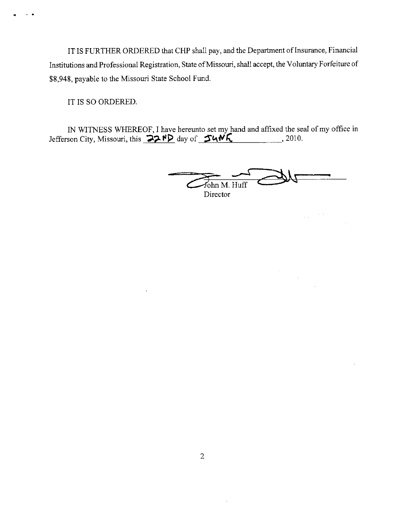IT IS FURTHER ORDERED that CHP shall pay, and the Department of Insurance, Financial Institutions and Professional Registration, State of Missouri, shall accept, the Voluntary Forfeiture of \$8,948, payable to the Missouri State School Fund.

IT IS SO ORDERED.

•

IN WITNESS WHEREOF, I have hereunto set my hand and affixed the seal of my office in Jefferson City, Missouri, this  $\sqrt{22.7}$  day of  $\sqrt{24.1}$ , 2010.

 $\overline{f_{\text{ohn M. Huff}}}$ **Director**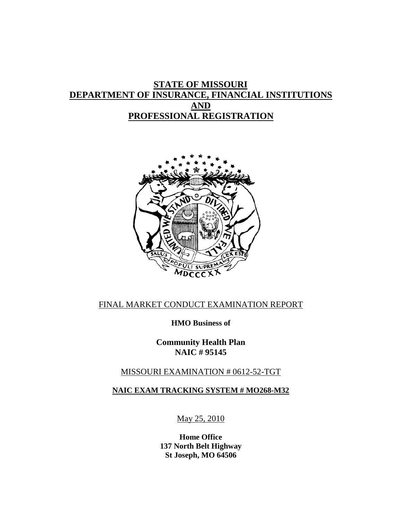# **STATE OF MISSOURI DEPARTMENT OF INSURANCE, FINANCIAL INSTITUTIONS AND PROFESSIONAL REGISTRATION**



# FINAL MARKET CONDUCT EXAMINATION REPORT

**HMO Business of**

**Community Health Plan NAIC # 95145** 

# MISSOURI EXAMINATION # 0612-52-TGT

## **NAIC EXAM TRACKING SYSTEM # MO268-M32**

May 25, 2010

**Home Office 137 North Belt Highway St Joseph, MO 64506**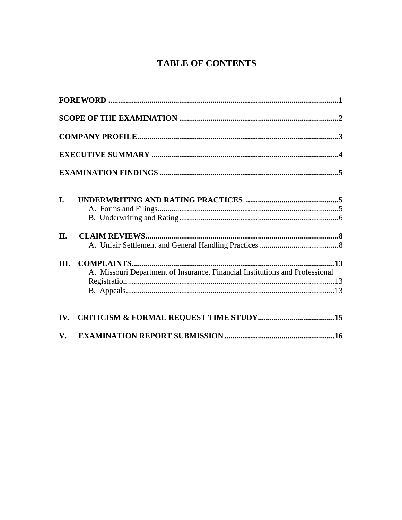# **TABLE OF CONTENTS**

|                        | ${\bf FOREWORD}\textrm{ } \textrm{ } \textrm{ } \textrm{ } \textrm{ } \textrm{ } \textrm{ } \textrm{ } \textrm{ } \textrm{ } \textrm{ } \textrm{ } \textrm{ } \textrm{ } \textrm{ } \textrm{ } \textrm{ } \textrm{ } \textrm{ } \textrm{ } \textrm{ } \textrm{ } \textrm{ } \textrm{ } \textrm{ } \textrm{ } \textrm{ } \textrm{ } \textrm{ } \textrm{ } \textrm{$ |  |
|------------------------|--------------------------------------------------------------------------------------------------------------------------------------------------------------------------------------------------------------------------------------------------------------------------------------------------------------------------------------------------------------------|--|
|                        |                                                                                                                                                                                                                                                                                                                                                                    |  |
|                        |                                                                                                                                                                                                                                                                                                                                                                    |  |
|                        |                                                                                                                                                                                                                                                                                                                                                                    |  |
|                        |                                                                                                                                                                                                                                                                                                                                                                    |  |
| I.                     |                                                                                                                                                                                                                                                                                                                                                                    |  |
|                        |                                                                                                                                                                                                                                                                                                                                                                    |  |
| II.                    |                                                                                                                                                                                                                                                                                                                                                                    |  |
|                        |                                                                                                                                                                                                                                                                                                                                                                    |  |
| III.                   | A. Missouri Department of Insurance, Financial Institutions and Professional                                                                                                                                                                                                                                                                                       |  |
|                        |                                                                                                                                                                                                                                                                                                                                                                    |  |
| $\mathbf{V}_{\bullet}$ |                                                                                                                                                                                                                                                                                                                                                                    |  |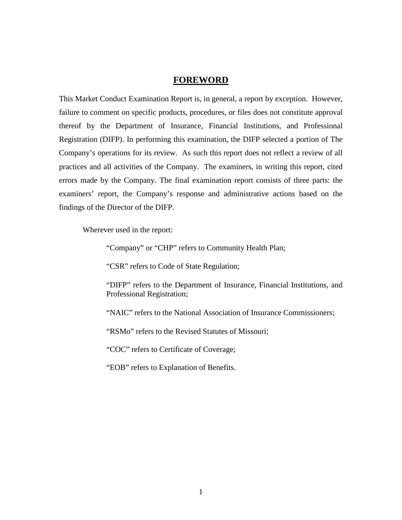#### **FOREWORD**

This Market Conduct Examination Report is, in general, a report by exception. However, failure to comment on specific products, procedures, or files does not constitute approval thereof by the Department of Insurance, Financial Institutions, and Professional Registration (DIFP). In performing this examination, the DIFP selected a portion of The Company's operations for its review. As such this report does not reflect a review of all practices and all activities of the Company. The examiners, in writing this report, cited errors made by the Company. The final examination report consists of three parts: the examiners' report, the Company's response and administrative actions based on the findings of the Director of the DIFP.

Wherever used in the report:

"Company" or "CHP" refers to Community Health Plan;

"CSR" refers to Code of State Regulation;

"DIFP" refers to the Department of Insurance, Financial Institutions, and Professional Registration;

"NAIC" refers to the National Association of Insurance Commissioners;

"RSMo" refers to the Revised Statutes of Missouri;

"COC" refers to Certificate of Coverage;

"EOB" refers to Explanation of Benefits.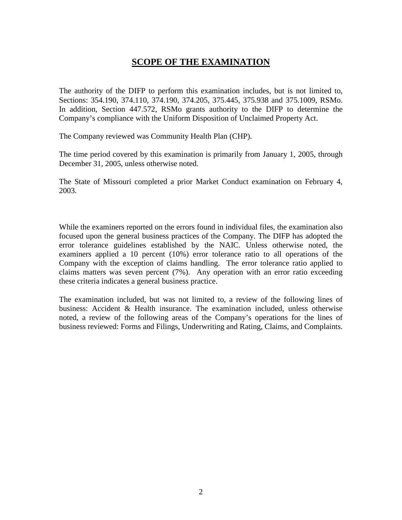# **SCOPE OF THE EXAMINATION**

The authority of the DIFP to perform this examination includes, but is not limited to, Sections: 354.190, 374.110, 374.190, 374.205, 375.445, 375.938 and 375.1009, RSMo. In addition, Section 447.572, RSMo grants authority to the DIFP to determine the Company's compliance with the Uniform Disposition of Unclaimed Property Act.

The Company reviewed was Community Health Plan (CHP).

The time period covered by this examination is primarily from January 1, 2005, through December 31, 2005, unless otherwise noted.

The State of Missouri completed a prior Market Conduct examination on February 4, 2003.

While the examiners reported on the errors found in individual files, the examination also focused upon the general business practices of the Company. The DIFP has adopted the error tolerance guidelines established by the NAIC. Unless otherwise noted, the examiners applied a 10 percent (10%) error tolerance ratio to all operations of the Company with the exception of claims handling. The error tolerance ratio applied to claims matters was seven percent (7%). Any operation with an error ratio exceeding these criteria indicates a general business practice.

 The examination included, but was not limited to, a review of the following lines of business: Accident & Health insurance. The examination included, unless otherwise noted, a review of the following areas of the Company's operations for the lines of business reviewed: Forms and Filings, Underwriting and Rating, Claims, and Complaints.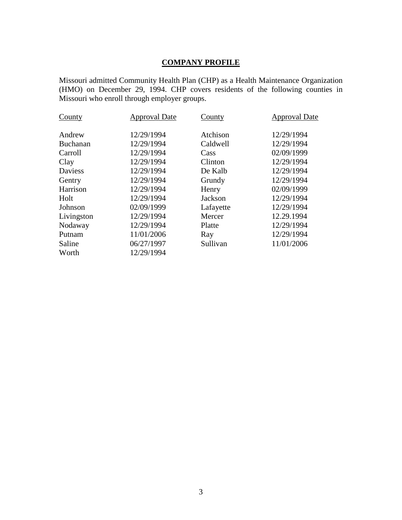# **COMPANY PROFILE**

Missouri admitted Community Health Plan (CHP) as a Health Maintenance Organization (HMO) on December 29, 1994. CHP covers residents of the following counties in Missouri who enroll through employer groups.

| County          | <b>Approval Date</b> | County    | <b>Approval Date</b> |
|-----------------|----------------------|-----------|----------------------|
| Andrew          | 12/29/1994           | Atchison  | 12/29/1994           |
| <b>Buchanan</b> | 12/29/1994           | Caldwell  | 12/29/1994           |
| Carroll         | 12/29/1994           | Cass      | 02/09/1999           |
| Clay            | 12/29/1994           | Clinton   | 12/29/1994           |
| Daviess         | 12/29/1994           | De Kalb   | 12/29/1994           |
| Gentry          | 12/29/1994           | Grundy    | 12/29/1994           |
| Harrison        | 12/29/1994           | Henry     | 02/09/1999           |
| Holt            | 12/29/1994           | Jackson   | 12/29/1994           |
| Johnson         | 02/09/1999           | Lafayette | 12/29/1994           |
| Livingston      | 12/29/1994           | Mercer    | 12.29.1994           |
| Nodaway         | 12/29/1994           | Platte    | 12/29/1994           |
| Putnam          | 11/01/2006           | Ray       | 12/29/1994           |
| Saline          | 06/27/1997           | Sullivan  | 11/01/2006           |
| Worth           | 12/29/1994           |           |                      |
|                 |                      |           |                      |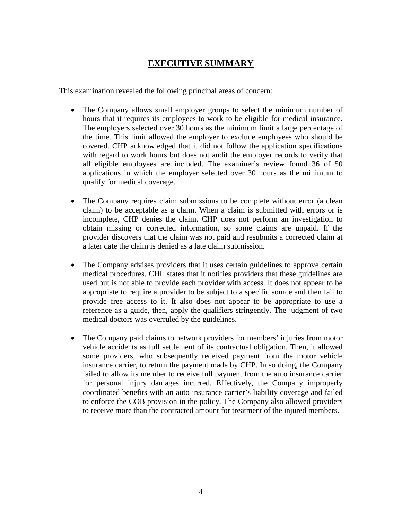# **EXECUTIVE SUMMARY**

This examination revealed the following principal areas of concern:

- The Company allows small employer groups to select the minimum number of hours that it requires its employees to work to be eligible for medical insurance. The employers selected over 30 hours as the minimum limit a large percentage of the time. This limit allowed the employer to exclude employees who should be covered. CHP acknowledged that it did not follow the application specifications with regard to work hours but does not audit the employer records to verify that all eligible employees are included. The examiner's review found 36 of 50 applications in which the employer selected over 30 hours as the minimum to qualify for medical coverage.
- The Company requires claim submissions to be complete without error (a clean claim) to be acceptable as a claim. When a claim is submitted with errors or is incomplete, CHP denies the claim. CHP does not perform an investigation to obtain missing or corrected information, so some claims are unpaid. If the provider discovers that the claim was not paid and resubmits a corrected claim at a later date the claim is denied as a late claim submission.
- The Company advises providers that it uses certain guidelines to approve certain medical procedures. CHL states that it notifies providers that these guidelines are used but is not able to provide each provider with access. It does not appear to be appropriate to require a provider to be subject to a specific source and then fail to provide free access to it. It also does not appear to be appropriate to use a reference as a guide, then, apply the qualifiers stringently. The judgment of two medical doctors was overruled by the guidelines.
- The Company paid claims to network providers for members' injuries from motor vehicle accidents as full settlement of its contractual obligation. Then, it allowed some providers, who subsequently received payment from the motor vehicle insurance carrier, to return the payment made by CHP. In so doing, the Company failed to allow its member to receive full payment from the auto insurance carrier for personal injury damages incurred. Effectively, the Company improperly coordinated benefits with an auto insurance carrier's liability coverage and failed to enforce the COB provision in the policy. The Company also allowed providers to receive more than the contracted amount for treatment of the injured members.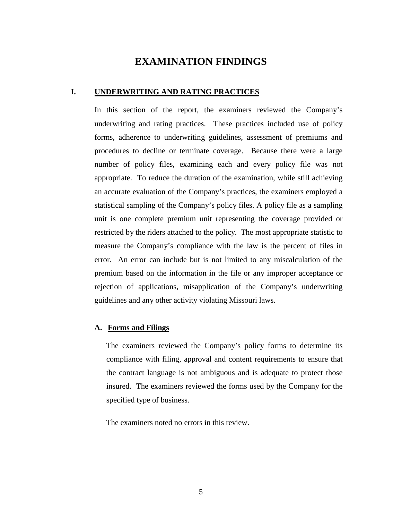# **EXAMINATION FINDINGS**

### **I. UNDERWRITING AND RATING PRACTICES**

In this section of the report, the examiners reviewed the Company's underwriting and rating practices. These practices included use of policy forms, adherence to underwriting guidelines, assessment of premiums and procedures to decline or terminate coverage. Because there were a large number of policy files, examining each and every policy file was not appropriate. To reduce the duration of the examination, while still achieving an accurate evaluation of the Company's practices, the examiners employed a statistical sampling of the Company's policy files. A policy file as a sampling unit is one complete premium unit representing the coverage provided or restricted by the riders attached to the policy. The most appropriate statistic to measure the Company's compliance with the law is the percent of files in error. An error can include but is not limited to any miscalculation of the premium based on the information in the file or any improper acceptance or rejection of applications, misapplication of the Company's underwriting guidelines and any other activity violating Missouri laws.

#### **A. Forms and Filings**

The examiners reviewed the Company's policy forms to determine its compliance with filing, approval and content requirements to ensure that the contract language is not ambiguous and is adequate to protect those insured. The examiners reviewed the forms used by the Company for the specified type of business.

The examiners noted no errors in this review.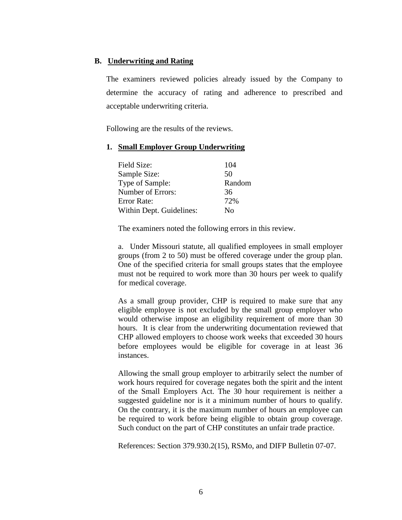### **B. Underwriting and Rating**

The examiners reviewed policies already issued by the Company to determine the accuracy of rating and adherence to prescribed and acceptable underwriting criteria.

Following are the results of the reviews.

#### **1. Small Employer Group Underwriting**

| Field Size:              | 104    |
|--------------------------|--------|
| Sample Size:             | 50     |
| Type of Sample:          | Random |
| Number of Errors:        | 36     |
| Error Rate:              | 72%    |
| Within Dept. Guidelines: | No     |

The examiners noted the following errors in this review.

a. Under Missouri statute, all qualified employees in small employer groups (from 2 to 50) must be offered coverage under the group plan. One of the specified criteria for small groups states that the employee must not be required to work more than 30 hours per week to qualify for medical coverage.

As a small group provider, CHP is required to make sure that any eligible employee is not excluded by the small group employer who would otherwise impose an eligibility requirement of more than 30 hours. It is clear from the underwriting documentation reviewed that CHP allowed employers to choose work weeks that exceeded 30 hours before employees would be eligible for coverage in at least 36 instances.

Allowing the small group employer to arbitrarily select the number of work hours required for coverage negates both the spirit and the intent of the Small Employers Act. The 30 hour requirement is neither a suggested guideline nor is it a minimum number of hours to qualify. On the contrary, it is the maximum number of hours an employee can be required to work before being eligible to obtain group coverage. Such conduct on the part of CHP constitutes an unfair trade practice.

References: Section 379.930.2(15), RSMo, and DIFP Bulletin 07-07.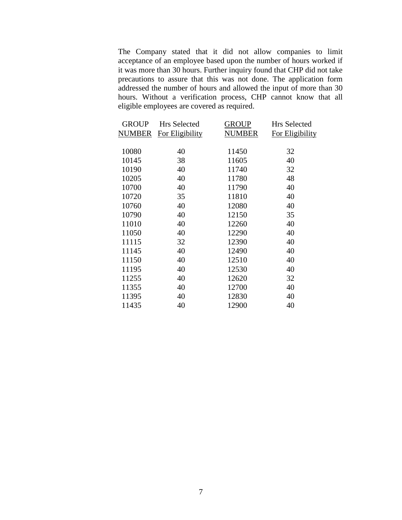The Company stated that it did not allow companies to limit acceptance of an employee based upon the number of hours worked if it was more than 30 hours. Further inquiry found that CHP did not take precautions to assure that this was not done. The application form addressed the number of hours and allowed the input of more than 30 hours. Without a verification process, CHP cannot know that all eligible employees are covered as required.

| <b>Hrs Selected</b> | <b>GROUP</b>  | <b>Hrs Selected</b> |
|---------------------|---------------|---------------------|
| For Eligibility     | <b>NUMBER</b> | For Eligibility     |
|                     |               |                     |
| 40                  | 11450         | 32                  |
| 38                  | 11605         | 40                  |
| 40                  | 11740         | 32                  |
| 40                  | 11780         | 48                  |
| 40                  | 11790         | 40                  |
| 35                  | 11810         | 40                  |
| 40                  | 12080         | 40                  |
| 40                  | 12150         | 35                  |
| 40                  | 12260         | 40                  |
| 40                  | 12290         | 40                  |
| 32                  | 12390         | 40                  |
| 40                  | 12490         | 40                  |
| 40                  | 12510         | 40                  |
| 40                  | 12530         | 40                  |
| 40                  | 12620         | 32                  |
| 40                  | 12700         | 40                  |
| 40                  | 12830         | 40                  |
| 40                  | 12900         | 40                  |
|                     |               |                     |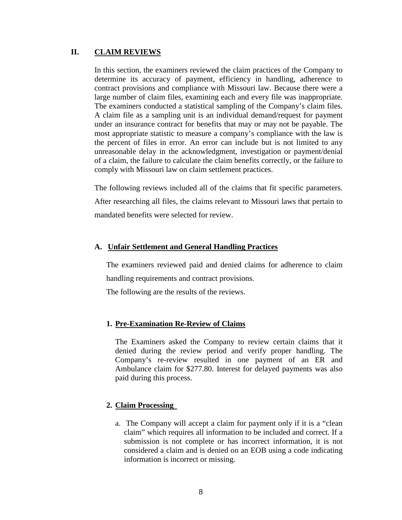#### **II. CLAIM REVIEWS**

In this section, the examiners reviewed the claim practices of the Company to determine its accuracy of payment, efficiency in handling, adherence to contract provisions and compliance with Missouri law. Because there were a large number of claim files, examining each and every file was inappropriate. The examiners conducted a statistical sampling of the Company's claim files. A claim file as a sampling unit is an individual demand/request for payment under an insurance contract for benefits that may or may not be payable. The most appropriate statistic to measure a company's compliance with the law is the percent of files in error. An error can include but is not limited to any unreasonable delay in the acknowledgment, investigation or payment/denial of a claim, the failure to calculate the claim benefits correctly, or the failure to comply with Missouri law on claim settlement practices.

The following reviews included all of the claims that fit specific parameters.

After researching all files, the claims relevant to Missouri laws that pertain to mandated benefits were selected for review.

#### **A. Unfair Settlement and General Handling Practices**

The examiners reviewed paid and denied claims for adherence to claim handling requirements and contract provisions.

The following are the results of the reviews.

#### **1. Pre-Examination Re-Review of Claims**

The Examiners asked the Company to review certain claims that it denied during the review period and verify proper handling. The Company's re-review resulted in one payment of an ER and Ambulance claim for \$277.80. Interest for delayed payments was also paid during this process.

#### **2. Claim Processing**

a. The Company will accept a claim for payment only if it is a "clean claim" which requires all information to be included and correct. If a submission is not complete or has incorrect information, it is not considered a claim and is denied on an EOB using a code indicating information is incorrect or missing.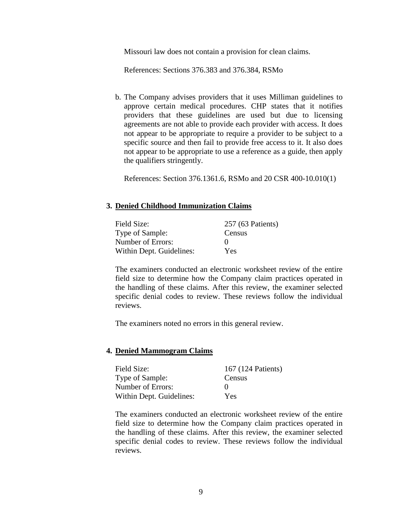Missouri law does not contain a provision for clean claims.

References: Sections 376.383 and 376.384, RSMo

b. The Company advises providers that it uses Milliman guidelines to approve certain medical procedures. CHP states that it notifies providers that these guidelines are used but due to licensing agreements are not able to provide each provider with access. It does not appear to be appropriate to require a provider to be subject to a specific source and then fail to provide free access to it. It also does not appear to be appropriate to use a reference as a guide, then apply the qualifiers stringently.

References: Section 376.1361.6, RSMo and 20 CSR 400-10.010(1)

#### **3. Denied Childhood Immunization Claims**

| Field Size:              | 257 (63 Patients) |
|--------------------------|-------------------|
| Type of Sample:          | Census            |
| Number of Errors:        |                   |
| Within Dept. Guidelines: | Yes               |

The examiners conducted an electronic worksheet review of the entire field size to determine how the Company claim practices operated in the handling of these claims. After this review, the examiner selected specific denial codes to review. These reviews follow the individual reviews.

The examiners noted no errors in this general review.

#### **4. Denied Mammogram Claims**

| Field Size:              | 167 (124 Patients) |
|--------------------------|--------------------|
| Type of Sample:          | Census             |
| Number of Errors:        | $\mathbf{\Omega}$  |
| Within Dept. Guidelines: | Yes                |

The examiners conducted an electronic worksheet review of the entire field size to determine how the Company claim practices operated in the handling of these claims. After this review, the examiner selected specific denial codes to review. These reviews follow the individual reviews.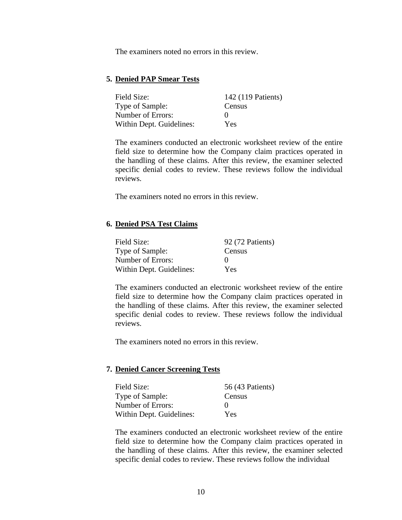The examiners noted no errors in this review.

### **5. Denied PAP Smear Tests**

| Field Size:              | 142 (119 Patients) |
|--------------------------|--------------------|
| Type of Sample:          | Census             |
| Number of Errors:        | $\mathbf{0}$       |
| Within Dept. Guidelines: | Yes                |

The examiners conducted an electronic worksheet review of the entire field size to determine how the Company claim practices operated in the handling of these claims. After this review, the examiner selected specific denial codes to review. These reviews follow the individual reviews.

The examiners noted no errors in this review.

#### **6. Denied PSA Test Claims**

| Field Size:              | 92 (72 Patients) |
|--------------------------|------------------|
| Type of Sample:          | Census           |
| Number of Errors:        |                  |
| Within Dept. Guidelines: | Yes              |

The examiners conducted an electronic worksheet review of the entire field size to determine how the Company claim practices operated in the handling of these claims. After this review, the examiner selected specific denial codes to review. These reviews follow the individual reviews.

The examiners noted no errors in this review.

### **7. Denied Cancer Screening Tests**

| Field Size:              | 56 (43 Patients) |
|--------------------------|------------------|
| Type of Sample:          | Census           |
| Number of Errors:        |                  |
| Within Dept. Guidelines: | Yes              |

The examiners conducted an electronic worksheet review of the entire field size to determine how the Company claim practices operated in the handling of these claims. After this review, the examiner selected specific denial codes to review. These reviews follow the individual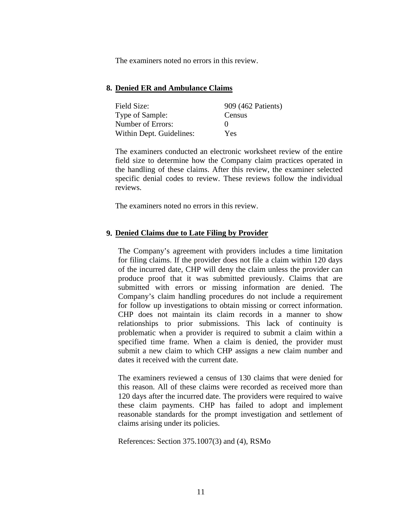The examiners noted no errors in this review.

#### **8. Denied ER and Ambulance Claims**

| Field Size:              | 909 (462 Patients) |
|--------------------------|--------------------|
| Type of Sample:          | Census             |
| Number of Errors:        |                    |
| Within Dept. Guidelines: | <b>Yes</b>         |

The examiners conducted an electronic worksheet review of the entire field size to determine how the Company claim practices operated in the handling of these claims. After this review, the examiner selected specific denial codes to review. These reviews follow the individual reviews.

The examiners noted no errors in this review.

#### **9. Denied Claims due to Late Filing by Provider**

The Company's agreement with providers includes a time limitation for filing claims. If the provider does not file a claim within 120 days of the incurred date, CHP will deny the claim unless the provider can produce proof that it was submitted previously. Claims that are submitted with errors or missing information are denied. The Company's claim handling procedures do not include a requirement for follow up investigations to obtain missing or correct information. CHP does not maintain its claim records in a manner to show relationships to prior submissions. This lack of continuity is problematic when a provider is required to submit a claim within a specified time frame. When a claim is denied, the provider must submit a new claim to which CHP assigns a new claim number and dates it received with the current date.

The examiners reviewed a census of 130 claims that were denied for this reason. All of these claims were recorded as received more than 120 days after the incurred date. The providers were required to waive these claim payments. CHP has failed to adopt and implement reasonable standards for the prompt investigation and settlement of claims arising under its policies.

References: Section 375.1007(3) and (4), RSMo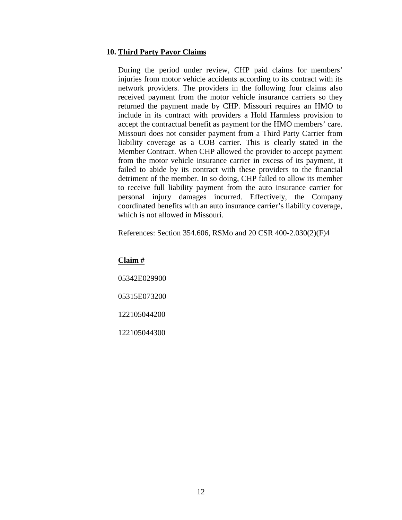#### **10. Third Party Payor Claims**

During the period under review, CHP paid claims for members' injuries from motor vehicle accidents according to its contract with its network providers. The providers in the following four claims also received payment from the motor vehicle insurance carriers so they returned the payment made by CHP. Missouri requires an HMO to include in its contract with providers a Hold Harmless provision to accept the contractual benefit as payment for the HMO members' care. Missouri does not consider payment from a Third Party Carrier from liability coverage as a COB carrier. This is clearly stated in the Member Contract. When CHP allowed the provider to accept payment from the motor vehicle insurance carrier in excess of its payment, it failed to abide by its contract with these providers to the financial detriment of the member. In so doing, CHP failed to allow its member to receive full liability payment from the auto insurance carrier for personal injury damages incurred. Effectively, the Company coordinated benefits with an auto insurance carrier's liability coverage, which is not allowed in Missouri.

References: Section 354.606, RSMo and 20 CSR 400-2.030(2)(F)4

**Claim #** 05342E029900 05315E073200 122105044200 122105044300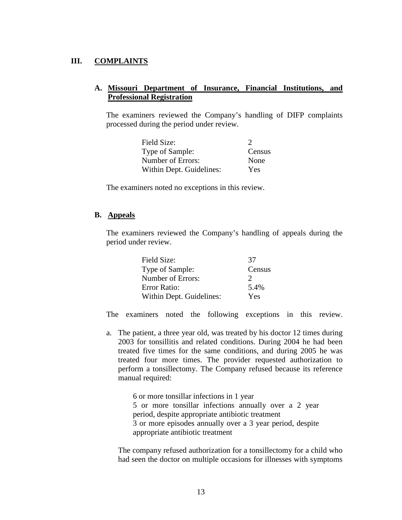### **III. COMPLAINTS**

### **A. Missouri Department of Insurance, Financial Institutions, and Professional Registration**

The examiners reviewed the Company's handling of DIFP complaints processed during the period under review.

| Field Size:              | $\mathcal{L}$ |
|--------------------------|---------------|
| Type of Sample:          | Census        |
| Number of Errors:        | None          |
| Within Dept. Guidelines: | Yes           |

The examiners noted no exceptions in this review.

#### **B. Appeals**

The examiners reviewed the Company's handling of appeals during the period under review.

| Field Size:              | 37            |
|--------------------------|---------------|
| Type of Sample:          | Census        |
| Number of Errors:        | $\mathcal{L}$ |
| Error Ratio:             | 5.4%          |
| Within Dept. Guidelines: | Yes           |

The examiners noted the following exceptions in this review.

a. The patient, a three year old, was treated by his doctor 12 times during 2003 for tonsillitis and related conditions. During 2004 he had been treated five times for the same conditions, and during 2005 he was treated four more times. The provider requested authorization to perform a tonsillectomy. The Company refused because its reference manual required:

> 6 or more tonsillar infections in 1 year 5 or more tonsillar infections annually over a 2 year period, despite appropriate antibiotic treatment 3 or more episodes annually over a 3 year period, despite appropriate antibiotic treatment

The company refused authorization for a tonsillectomy for a child who had seen the doctor on multiple occasions for illnesses with symptoms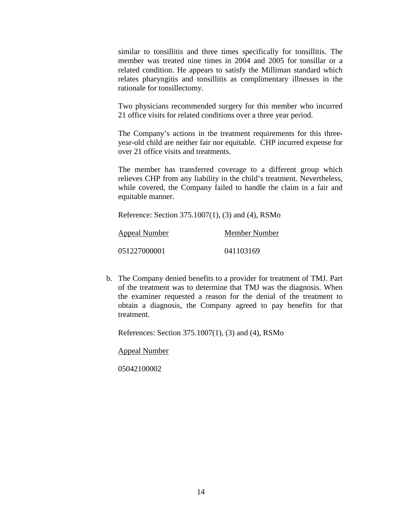similar to tonsillitis and three times specifically for tonsillitis. The member was treated nine times in 2004 and 2005 for tonsillar or a related condition. He appears to satisfy the Milliman standard which relates pharyngitis and tonsillitis as complimentary illnesses in the rationale for tonsillectomy.

Two physicians recommended surgery for this member who incurred 21 office visits for related conditions over a three year period.

The Company's actions in the treatment requirements for this threeyear-old child are neither fair nor equitable. CHP incurred expense for over 21 office visits and treatments.

The member has transferred coverage to a different group which relieves CHP from any liability in the child's treatment. Nevertheless, while covered, the Company failed to handle the claim in a fair and equitable manner.

Reference: Section 375.1007(1), (3) and (4), RSMo

| Appeal Number | Member Number |
|---------------|---------------|
| 051227000001  | 041103169     |

b. The Company denied benefits to a provider for treatment of TMJ. Part of the treatment was to determine that TMJ was the diagnosis. When the examiner requested a reason for the denial of the treatment to obtain a diagnosis, the Company agreed to pay benefits for that treatment.

References: Section 375.1007(1), (3) and (4), RSMo

Appeal Number

05042100002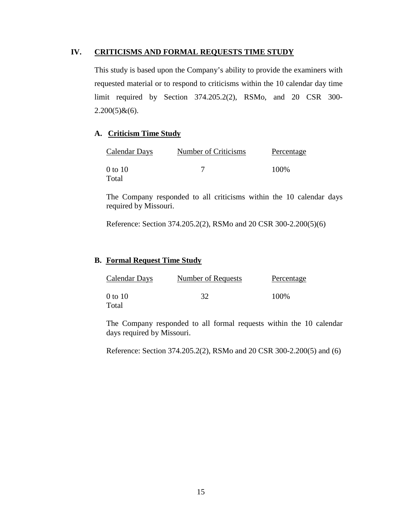#### **IV. CRITICISMS AND FORMAL REQUESTS TIME STUDY**

This study is based upon the Company's ability to provide the examiners with requested material or to respond to criticisms within the 10 calendar day time limit required by Section 374.205.2(2), RSMo, and 20 CSR 300-  $2.200(5)$ & $(6)$ .

### **A. Criticism Time Study**

| Calendar Days | Number of Criticisms | Percentage |
|---------------|----------------------|------------|
| 0 to 10       |                      | 100%       |
| Total         |                      |            |

The Company responded to all criticisms within the 10 calendar days required by Missouri.

Reference: Section 374.205.2(2), RSMo and 20 CSR 300-2.200(5)(6)

#### **B. Formal Request Time Study**

| Calendar Days | Number of Requests | Percentage |
|---------------|--------------------|------------|
| 0 to 10       | 32                 | 100%       |
| Total         |                    |            |

The Company responded to all formal requests within the 10 calendar days required by Missouri.

Reference: Section 374.205.2(2), RSMo and 20 CSR 300-2.200(5) and (6)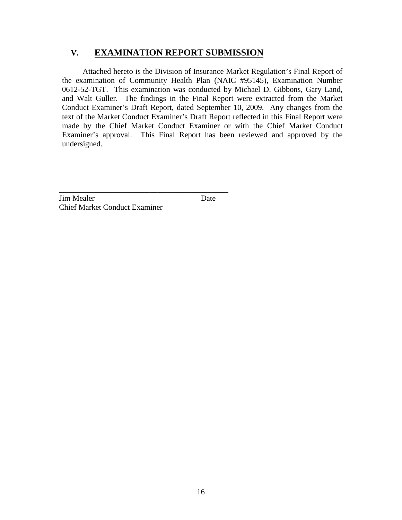# **V. EXAMINATION REPORT SUBMISSION**

Attached hereto is the Division of Insurance Market Regulation's Final Report of the examination of Community Health Plan (NAIC #95145), Examination Number 0612-52-TGT. This examination was conducted by Michael D. Gibbons, Gary Land, and Walt Guller. The findings in the Final Report were extracted from the Market Conduct Examiner's Draft Report, dated September 10, 2009. Any changes from the text of the Market Conduct Examiner's Draft Report reflected in this Final Report were made by the Chief Market Conduct Examiner or with the Chief Market Conduct Examiner's approval. This Final Report has been reviewed and approved by the undersigned.

**Jim Mealer** Date Chief Market Conduct Examiner

\_\_\_\_\_\_\_\_\_\_\_\_\_\_\_\_\_\_\_\_\_\_\_\_\_\_\_\_\_\_\_\_\_\_\_\_\_\_\_\_\_\_\_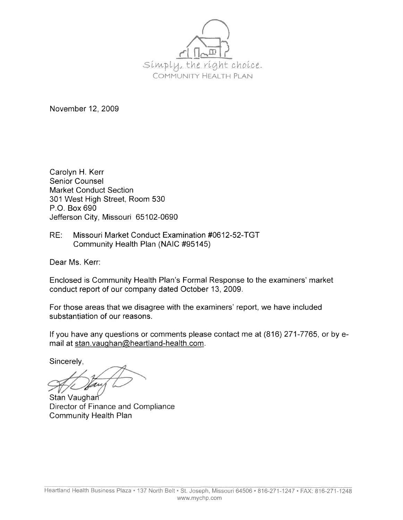

November 12, 2009

Carolyn H. Kerr Senior Counsel Market Conduct Section 301 West High Street, Room 530 P.O. Box 690 Jefferson City, Missouri 65102-0690

RE: Missouri Market Conduct Examination #0612-52-TGT Community Health Plan (NAIC #95145)

Dear Ms. Kerr:

Enclosed is Community Health Plan's Formal Response to the examiners' market conduct report of our company dated October 13, 2009.

For those areas that we disagree with the examiners' report, we have included substantiation of our reasons.

If you have any questions or comments please contact me at (816) 271-7765, or by email at stan.vaughan@heartland-health.com.

Sincerely,

Stan Vaughan Director of Finance and Compliance Community Health Plan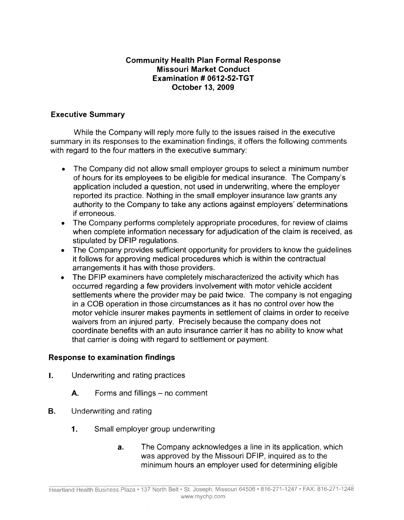# **Community Health Plan Formal Response Missouri Market Conduct Examination** # **0612-52-TGT October 13, 2009**

# **Executive Summary**

While the Company will reply more fully to the issues raised in the executive summary in its responses to the examination findings, it offers the following comments with regard to the four matters in the executive summary:

- The Company did not allow small employer groups to select a minimum number of hours for its employees to be eligible for medical insurance. The Company's application included a question, not used in underwriting, where the employer reported its practice. Nothing in the small employer insurance law grants any authority to the Company to take any actions against employers' determinations if erroneous.
- The Company performs completely appropriate procedures, for review of claims when complete information necessary for adjudication of the claim is received, as stipulated by DFIP regulations.
- The Company provides sufficient opportunity for providers to know the quidelines it follows for approving medical procedures which is within the contractual arrangements it has with those providers.
- The DFIP examiners have completely mischaracterized the activity which has occurred regarding a few providers involvement with motor vehicle accident settlements where the provider may be paid twice. The company is not engaging in a COB operation in those circumstances as it has no control over how the motor vehicle insurer makes payments in settlement of claims in order to receive waivers from an injured party. Precisely because the company does not coordinate benefits with an auto insurance carrier it has no ability to know what that carrier is doing with regard to settlement or payment.

## **Response to examination findings**

- I. Underwriting and rating practices
	- A. Forms and fillings no comment
- **B.** Underwriting and rating
	- **1.** Small employer group underwriting
		- **a.** The Company acknowledges a line in its application, which was approved by the Missouri DFIP, inquired as to the minimum hours an employer used for determining eligible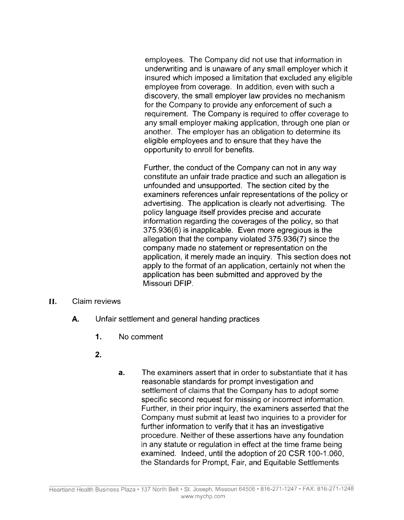employees. The Company did not use that information in underwriting and is unaware of any small employer which it insured which imposed a limitation that excluded any eligible employee from coverage. In addition, even with such a discovery, the small employer law provides no mechanism for the Company to provide any enforcement of such a requirement. The Company is required to offer coverage to any small employer making application, through one plan or another. The employer has an obligation to determine its eligible employees and to ensure that they have the opportunity to enroll for benefits.

Further, the conduct of the Company can not in any way constitute an unfair trade practice and such an allegation is unfounded and unsupported. The section cited by the examiners references unfair representations of the policy or advertising. The application is clearly not advertising. The policy language itself provides precise and accurate information regarding the coverages of the policy, so that 375.936(6) is inapplicable. Even more egregious is the allegation that the company violated 375.936(7) since the company made no statement or representation on the application, it merely made an inquiry. This section does not apply to the format of an application, certainly not when the application has been submitted and approved by the Missouri DFIP.

- II. Claim reviews
	- **A.** Unfair settlement and general handing practices
		- **1.** No comment
		- **2.**
- **a.** The examiners assert that in order to substantiate that it has reasonable standards for prompt investigation and settlement of claims that the Company has to adopt some specific second request for missing or incorrect information. Further, in their prior inquiry, the examiners asserted that the Company must submit at least two inquiries to a provider for further information to verify that it has an investigative procedure. Neither of these assertions have any foundation in any statute or regulation in effect at the time frame being examined. Indeed, until the adoption of 20 CSR 100-1.060, the Standards for Prompt, Fair, and Equitable Settlements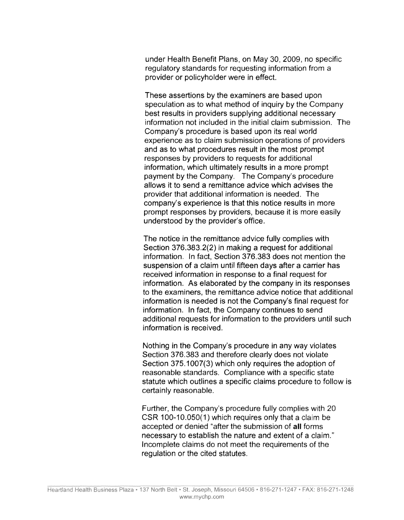under Health Benefit Plans, on May 30, 2009, no specific regulatory standards for requesting information from a provider or policyholder were in effect.

These assertions by the examiners are based upon speculation as to what method of inquiry by the Company best results in providers supplying additional necessary information not included in the initial claim submission. The Company's procedure is based upon its real world experience as to claim submission operations of providers and as to what procedures result in the most prompt responses by providers to requests for additional information, which ultimately results in a more prompt payment by the Company. The Company's procedure allows it to send a remittance advice which advises the provider that additional information is needed. The company's experience is that this notice results in more prompt responses by providers, because it is more easily understood by the provider's office.

The notice in the remittance advice fully complies with Section 376.383.2(2) in making a request for additional information. In fact, Section 376.383 does not mention the suspension of a claim until fifteen days after a carrier has received information in response to a final request for information. As elaborated by the company in its responses to the examiners, the remittance advice notice that additional information is needed is not the Company's final request for information. In fact, the Company continues to send additional requests for information to the providers until such information is received.

Nothing in the Company's procedure in any way violates Section 376.383 and therefore clearly does not violate Section 375.1007(3) which only requires the adoption of reasonable standards. Compliance with a specific state statute which outlines a specific claims procedure to follow is certainly reasonable.

Further, the Company's procedure fully complies with 20 CSR 100-10.050(1) which requires only that a claim be accepted or denied "after the submission of **all** forms necessary to establish the nature and extent of a claim." Incomplete claims do not meet the requirements of the regulation or the cited statutes.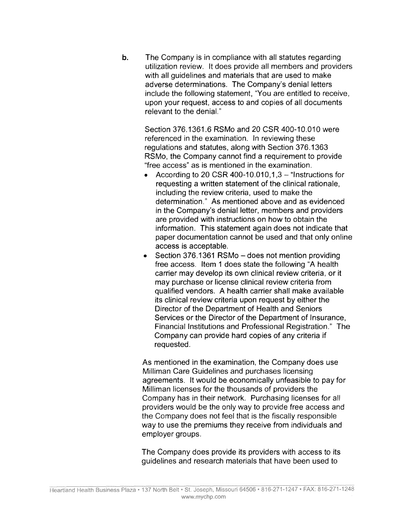**b.** The Company is in compliance with all statutes regarding utilization review. It does provide all members and providers with all guidelines and materials that are used to make adverse determinations. The Company's denial letters include the following statement, "You are entitled to receive, upon your request, access to and copies of all documents relevant to the denial."

Section 376.1361.6 RSMo and 20 CSR 400-10.010 were referenced in the examination. In reviewing these regulations and statutes, along with Section 376.1363 RSMo, the Company cannot find a requirement to provide "free access" as is mentioned in the examination.

- According to 20 CSR 400-10.010,  $1,3 -$  "Instructions for requesting a written statement of the clinical rationale, including the review criteria, used to make the determination." As mentioned above and as evidenced in the Company's denial letter, members and providers are provided with instructions on how to obtain the information. This statement again does not indicate that paper documentation cannot be used and that only online access is acceptable.
- Section 376.1361 RSMo  $-$  does not mention providing free access. Item 1 does state the following "A health carrier may develop its own clinical review criteria, or it may purchase or license clinical review criteria from qualified vendors. A health carrier shall make available its clinical review criteria upon request by either the Director of the Department of Health and Seniors Services or the Director of the Department of Insurance, Financial Institutions and Professional Registration." The Company can provide hard copies of any criteria if requested.

As mentioned in the examination, the Company does use Milliman Care Guidelines and purchases licensing agreements. It would be economically unfeasible to pay for Milliman licenses for the thousands of providers the Company has in their network. Purchasing licenses for all providers would be the only way to provide free access and the Company does not feel that is the fiscally responsible way to use the premiums they receive from individuals and employer groups.

The Company does provide its providers with access to its guidelines and research materials that have been used to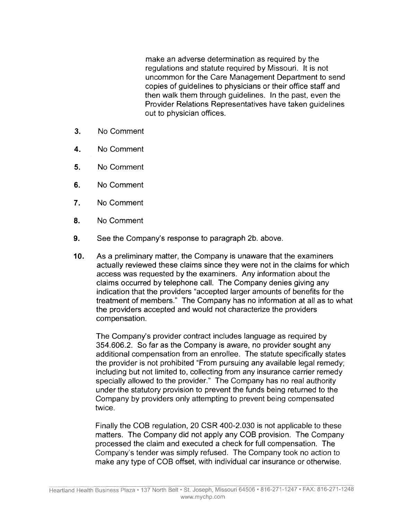make an adverse determination as required by the regulations and statute required by Missouri. It is not uncommon for the Care Management Department to send copies of guidelines to physicians or their office staff and then walk them through guidelines. In the past, even the Provider Relations Representatives have taken guidelines out to physician offices.

- **3.** No Comment
- **4.** No Comment
- **5.** No Comment
- **6.** No Comment
- **7.** No Comment
- **8.** No Comment
- **9.** See the Company's response to paragraph 2b. above.
- **10.** As a preliminary matter, the Company is unaware that the examiners actually reviewed these claims since they were not in the claims for which access was requested by the examiners. Any information about the claims occurred by telephone call. The Company denies giving any indication that the providers "accepted larger amounts of benefits for the treatment of members." The Company has no information at all as to what the providers accepted and would not characterize the providers compensation.

The Company's provider contract includes language as required by 354.606.2. So far as the Company is aware, no provider sought any additional compensation from an enrollee. The statute specifically states the provider is not prohibited "From pursuing any available legal remedy; including but not limited to, collecting from any insurance carrier remedy specially allowed to the provider." The Company has no real authority under the statutory provision to prevent the funds being returned to the Company by providers only attempting to prevent being compensated twice.

Finally the COB regulation, 20 CSR 400-2.030 is not applicable to these matters. The Company did not apply any COB provision. The Company processed the claim and executed a check for full compensation. The Company's tender was simply refused. The Company took no action to make any type of COB offset, with individual car insurance or otherwise.